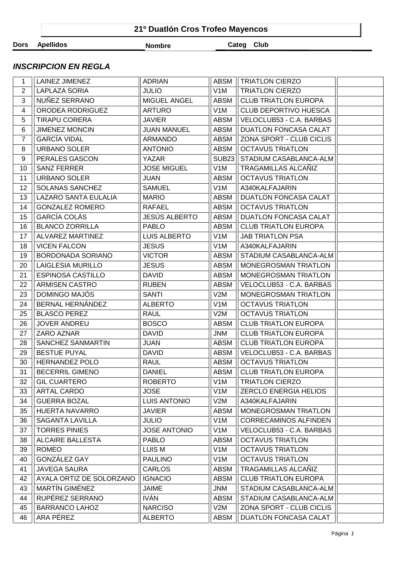|             | 21º Duatlón Cros Trofeo Mayencos |               |            |  |  |  |  |  |
|-------------|----------------------------------|---------------|------------|--|--|--|--|--|
| <b>Dors</b> | Apellidos                        | <b>Nombre</b> | Categ Club |  |  |  |  |  |

## **INSCRIPCION EN REGLA**

| 1              | LAINEZ JIMENEZ                     | <b>ADRIAN</b>                    | ABSM             | <b>TRIATLON CIERZO</b>                            |  |
|----------------|------------------------------------|----------------------------------|------------------|---------------------------------------------------|--|
| 2              | <b>LAPLAZA SORIA</b>               | <b>JULIO</b>                     | V <sub>1</sub> M | <b>TRIATLON CIERZO</b>                            |  |
| 3              | NUÑEZ SERRANO                      | MIGUEL ANGEL                     | <b>ABSM</b>      | <b>CLUB TRIATLON EUROPA</b>                       |  |
| 4              | ORODEA RODRIGUEZ                   | <b>ARTURO</b>                    | V <sub>1</sub> M | CLUB DEPORTIVO HUESCA                             |  |
| 5              | <b>TIRAPU CORERA</b>               | <b>JAVIER</b>                    | <b>ABSM</b>      | VELOCLUB53 - C.A. BARBAS                          |  |
| 6              | <b>JIMENEZ MONCIN</b>              | <b>JUAN MANUEL</b>               | <b>ABSM</b>      | <b>DUATLON FONCASA CALAT</b>                      |  |
| $\overline{7}$ | <b>GARCÍA VIDAL</b>                | <b>ARMANDO</b>                   | <b>ABSM</b>      | ZONA SPORT - CLUB CICLIS                          |  |
| 8              | <b>URBANO SOLER</b>                | <b>ANTONIO</b>                   | <b>ABSM</b>      | <b>OCTAVUS TRIATLON</b>                           |  |
| 9              | PERALES GASCON                     | YAZAR                            | <b>SUB23</b>     | STADIUM CASABLANCA-ALM                            |  |
| 10             | <b>SANZ FERRER</b>                 | <b>JOSE MIGUEL</b>               | V <sub>1</sub> M | TRAGAMILLAS ALCAÑIZ                               |  |
| 11             | <b>URBANO SOLER</b>                | <b>JUAN</b>                      | <b>ABSM</b>      | <b>OCTAVUS TRIATLON</b>                           |  |
| 12             | SOLANAS SANCHEZ                    | <b>SAMUEL</b>                    | V <sub>1</sub> M | A340KALFAJARIN                                    |  |
| 13             | LAZARO SANTA EULALIA               | <b>MARIO</b>                     | <b>ABSM</b>      | <b>DUATLON FONCASA CALAT</b>                      |  |
| 14             | <b>GONZALEZ ROMERO</b>             | RAFAEL                           | <b>ABSM</b>      | <b>OCTAVUS TRIATLON</b>                           |  |
| 15             | GARCÍA COLÁS                       | <b>JESÚS ALBERTO</b>             | <b>ABSM</b>      | <b>DUATLON FONCASA CALAT</b>                      |  |
| 16             | <b>BLANCO ZORRILLA</b>             | <b>PABLO</b>                     | <b>ABSM</b>      | <b>CLUB TRIATLON EUROPA</b>                       |  |
| 17             | ALVAREZ MARTINEZ                   | LUIS ALBERTO                     | V <sub>1</sub> M | <b>JAB TRIATLON PSA</b>                           |  |
| 18             | <b>VICEN FALCON</b>                | <b>JESUS</b>                     | V <sub>1</sub> M | A340KALFAJARIN                                    |  |
| 19             | BORDONADA SORIANO                  | <b>VICTOR</b>                    | <b>ABSM</b>      | STADIUM CASABLANCA-ALM                            |  |
| 20             | <b>LAIGLESIA MURILLO</b>           | <b>JESUS</b>                     | <b>ABSM</b>      | MONEGROSMAN TRIATLON                              |  |
| 21             | <b>ESPINOSA CASTILLO</b>           | <b>DAVID</b>                     | <b>ABSM</b>      | MONEGROSMAN TRIATLON                              |  |
| 22             | ARMISEN CASTRO                     | <b>RUBEN</b>                     | <b>ABSM</b>      | VELOCLUB53 - C.A. BARBAS                          |  |
| 23             | DOMINGO MAJÓS                      | <b>SANTI</b>                     | V2M              | MONEGROSMAN TRIATLON                              |  |
| 24             | BERNAL HERNÁNDEZ                   | <b>ALBERTO</b>                   | V1M              | <b>OCTAVUS TRIATLON</b>                           |  |
| 25             | <b>BLASCO PEREZ</b>                | <b>RAUL</b>                      | V2M              | <b>OCTAVUS TRIATLON</b>                           |  |
| 26             | <b>JOVER ANDREU</b>                | <b>BOSCO</b>                     | <b>ABSM</b>      | <b>CLUB TRIATLON EUROPA</b>                       |  |
| 27             | ZARO AZNAR                         | <b>DAVID</b>                     | <b>JNM</b>       | <b>CLUB TRIATLON EUROPA</b>                       |  |
| 28             | SANCHEZ SANMARTIN                  | <b>JUAN</b>                      | <b>ABSM</b>      | <b>CLUB TRIATLON EUROPA</b>                       |  |
| 29             | <b>BESTUE PUYAL</b>                | <b>DAVID</b>                     | <b>ABSM</b>      | VELOCLUB53 - C.A. BARBAS                          |  |
| 30             | <b>HERNANDEZ POLO</b>              | <b>RAUL</b>                      | <b>ABSM</b>      | <b>OCTAVUS TRIATLON</b>                           |  |
| 31             | <b>BECERRIL GIMENO</b>             | <b>DANIEL</b>                    | <b>ABSM</b>      | <b>CLUB TRIATLON EUROPA</b>                       |  |
| 32             | <b>GIL CUARTERO</b>                | <b>ROBERTO</b>                   | V <sub>1</sub> M | <b>TRIATLON CIERZO</b>                            |  |
| 33             | ARTAL CARDO                        | <b>JOSE</b>                      | V <sub>1</sub> M | <b>ZERCLO ENERGIA HELIOS</b>                      |  |
| 34             | <b>GUERRA BOZAL</b>                | <b>LUIS ANTONIO</b>              | V2M              | A340KALFAJARIN                                    |  |
| 35             | <b>HUERTA NAVARRO</b>              | <b>JAVIER</b>                    | <b>ABSM</b>      | <b>MONEGROSMAN TRIATLON</b>                       |  |
| 36             | SAGANTA LAVILLA                    | <b>JULIO</b>                     | V <sub>1</sub> M | CORRECAMINOS ALFINDEN                             |  |
| 37             | <b>TORRES PINIES</b>               | <b>JOSE ANTONIO</b>              | V <sub>1</sub> M | VELOCLUB53 - C.A. BARBAS                          |  |
| 38             | <b>ALCAIRE BALLESTA</b>            | <b>PABLO</b>                     | <b>ABSM</b>      | <b>OCTAVUS TRIATLON</b>                           |  |
| 39             | <b>ROMEO</b>                       | <b>LUIS M</b>                    | V <sub>1</sub> M | <b>OCTAVUS TRIATLON</b>                           |  |
| 40             | GONZÁLEZ GAY                       | <b>PAULINO</b>                   | V <sub>1</sub> M | <b>OCTAVUS TRIATLON</b>                           |  |
| 41             | <b>JAVEGA SAURA</b>                | <b>CARLOS</b>                    | <b>ABSM</b>      | TRAGAMILLAS ALCAÑIZ                               |  |
| 42             | AYALA ORTIZ DE SOLORZANO           | <b>IGNACIO</b>                   | <b>ABSM</b>      | <b>CLUB TRIATLON EUROPA</b>                       |  |
| 43             | MARTÍN GIMÉNEZ                     | JAIME                            | <b>JNM</b>       | STADIUM CASABLANCA-ALM                            |  |
| 44             | RUPÉREZ SERRANO                    | <b>IVÁN</b>                      | <b>ABSM</b>      | STADIUM CASABLANCA-ALM                            |  |
| 45             |                                    |                                  |                  |                                                   |  |
|                | <b>BARRANCO LAHOZ</b><br>ARA PÉREZ | <b>NARCISO</b><br><b>ALBERTO</b> | V2M              | ZONA SPORT - CLUB CICLIS<br>DUATLON FONCASA CALAT |  |